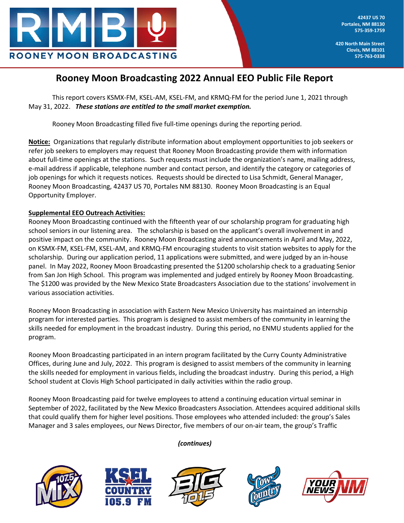

**420 North Main Street Clovis, NM 88101 575-763-0338**

# **Rooney Moon Broadcasting 2022 Annual EEO Public File Report**

This report covers KSMX-FM, KSEL-AM, KSEL-FM, and KRMQ-FM for the period June 1, 2021 through May 31, 2022. *These stations are entitled to the small market exemption.*

Rooney Moon Broadcasting filled five full-time openings during the reporting period.

**Notice:** Organizations that regularly distribute information about employment opportunities to job seekers or refer job seekers to employers may request that Rooney Moon Broadcasting provide them with information about full-time openings at the stations. Such requests must include the organization's name, mailing address, e-mail address if applicable, telephone number and contact person, and identify the category or categories of job openings for which it requests notices. Requests should be directed to Lisa Schmidt, General Manager, Rooney Moon Broadcasting, 42437 US 70, Portales NM 88130. Rooney Moon Broadcasting is an Equal Opportunity Employer.

# **Supplemental EEO Outreach Activities:**

Rooney Moon Broadcasting continued with the fifteenth year of our scholarship program for graduating high school seniors in our listening area. The scholarship is based on the applicant's overall involvement in and positive impact on the community. Rooney Moon Broadcasting aired announcements in April and May, 2022, on KSMX-FM, KSEL-FM, KSEL-AM, and KRMQ-FM encouraging students to visit station websites to apply for the scholarship. During our application period, 11 applications were submitted, and were judged by an in-house panel. In May 2022, Rooney Moon Broadcasting presented the \$1200 scholarship check to a graduating Senior from San Jon High School. This program was implemented and judged entirely by Rooney Moon Broadcasting. The \$1200 was provided by the New Mexico State Broadcasters Association due to the stations' involvement in various association activities.

Rooney Moon Broadcasting in association with Eastern New Mexico University has maintained an internship program for interested parties. This program is designed to assist members of the community in learning the skills needed for employment in the broadcast industry. During this period, no ENMU students applied for the program.

Rooney Moon Broadcasting participated in an intern program facilitated by the Curry County Administrative Offices, during June and July, 2022. This program is designed to assist members of the community in learning the skills needed for employment in various fields, including the broadcast industry. During this period, a High School student at Clovis High School participated in daily activities within the radio group.

Rooney Moon Broadcasting paid for twelve employees to attend a continuing education virtual seminar in September of 2022, facilitated by the New Mexico Broadcasters Association. Attendees acquired additional skills that could qualify them for higher level positions. Those employees who attended included: the group's Sales Manager and 3 sales employees, our News Director, five members of our on-air team, the group's Traffic











*(continues)*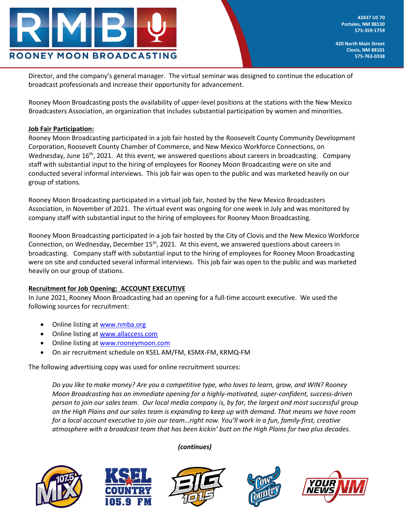

**42437 US 70 Portales, NM 88130 575-359-1759**

**420 North Main Street Clovis, NM 88101 575-763-0338**

Director, and the company's general manager. The virtual seminar was designed to continue the education of broadcast professionals and increase their opportunity for advancement.

Rooney Moon Broadcasting posts the availability of upper-level positions at the stations with the New Mexico Broadcasters Association, an organization that includes substantial participation by women and minorities.

## **Job Fair Participation:**

Rooney Moon Broadcasting participated in a job fair hosted by the Roosevelt County Community Development Corporation, Roosevelt County Chamber of Commerce, and New Mexico Workforce Connections, on Wednesday, June 16<sup>th</sup>, 2021. At this event, we answered questions about careers in broadcasting. Company staff with substantial input to the hiring of employees for Rooney Moon Broadcasting were on site and conducted several informal interviews. This job fair was open to the public and was marketed heavily on our group of stations.

Rooney Moon Broadcasting participated in a virtual job fair, hosted by the New Mexico Broadcasters Association, in November of 2021. The virtual event was ongoing for one week in July and was monitored by company staff with substantial input to the hiring of employees for Rooney Moon Broadcasting.

Rooney Moon Broadcasting participated in a job fair hosted by the City of Clovis and the New Mexico Workforce Connection, on Wednesday, December 15<sup>th</sup>, 2021. At this event, we answered questions about careers in broadcasting. Company staff with substantial input to the hiring of employees for Rooney Moon Broadcasting were on site and conducted several informal interviews. This job fair was open to the public and was marketed heavily on our group of stations.

#### **Recruitment for Job Opening: ACCOUNT EXECUTIVE**

In June 2021, Rooney Moon Broadcasting had an opening for a full-time account executive. We used the following sources for recruitment:

- Online listing a[t www.nmba.org](http://www.nmba.org/)
- Online listing a[t www.allaccess.com](http://www.allaccess.com/)
- Online listing a[t www.rooneymoon.com](http://www.rooneymoon.com/)
- On air recruitment schedule on KSEL AM/FM, KSMX-FM, KRMQ-FM

The following advertising copy was used for online recruitment sources:

*Do you like to make money? Are you a competitive type, who loves to learn, grow, and WIN? Rooney Moon Broadcasting has an immediate opening for a highly-motivated, super-confident, success-driven person to join our sales team. Our local media company is, by far, the largest and most successful group on the High Plains and our sales team is expanding to keep up with demand. That means we have room for a local account executive to join our team…right now. You'll work in a fun, family-first, creative atmosphere with a broadcast team that has been kickin' butt on the High Plains for two plus decades.* 







*(continues)*



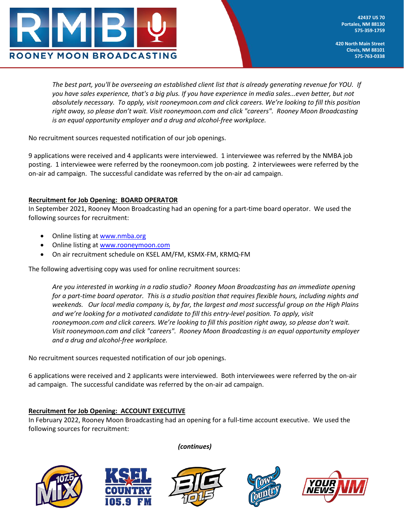

**420 North Main Street Clovis, NM 88101 575-763-0338**

*The best part, you'll be overseeing an established client list that is already generating revenue for YOU. If you have sales experience, that's a big plus. If you have experience in media sales...even better, but not absolutely necessary. To apply, visit rooneymoon.com and click careers. We're looking to fill this position right away, so please don't wait. Visit rooneymoon.com and click "careers". Rooney Moon Broadcasting is an equal opportunity employer and a drug and alcohol-free workplace.*

No recruitment sources requested notification of our job openings.

9 applications were received and 4 applicants were interviewed. 1 interviewee was referred by the NMBA job posting. 1 interviewee were referred by the rooneymoon.com job posting. 2 interviewees were referred by the on-air ad campaign. The successful candidate was referred by the on-air ad campaign.

## **Recruitment for Job Opening: BOARD OPERATOR**

In September 2021, Rooney Moon Broadcasting had an opening for a part-time board operator. We used the following sources for recruitment:

- Online listing a[t www.nmba.org](http://www.nmba.org/)
- Online listing a[t www.rooneymoon.com](http://www.rooneymoon.com/)
- On air recruitment schedule on KSEL AM/FM, KSMX-FM, KRMQ-FM

The following advertising copy was used for online recruitment sources:

*Are you interested in working in a radio studio? Rooney Moon Broadcasting has an immediate opening for a part-time board operator. This is a studio position that requires flexible hours, including nights and weekends. Our local media company is, by far, the largest and most successful group on the High Plains and we're looking for a motivated candidate to fill this entry-level position. To apply, visit rooneymoon.com and click careers. We're looking to fill this position right away, so please don't wait. Visit rooneymoon.com and click "careers". Rooney Moon Broadcasting is an equal opportunity employer and a drug and alcohol-free workplace.*

No recruitment sources requested notification of our job openings.

6 applications were received and 2 applicants were interviewed. Both interviewees were referred by the on-air ad campaign. The successful candidate was referred by the on-air ad campaign.

## **Recruitment for Job Opening: ACCOUNT EXECUTIVE**

In February 2022, Rooney Moon Broadcasting had an opening for a full-time account executive. We used the following sources for recruitment:











*(continues)*